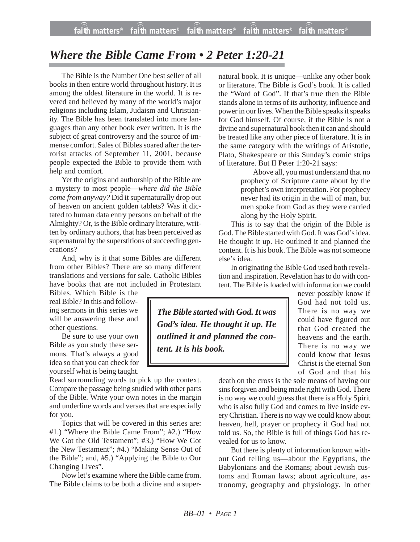## *Where the Bible Came From • 2 Peter 1:20-21*

The Bible is the Number One best seller of all books in then entire world throughout history. It is among the oldest literature in the world. It is revered and believed by many of the world's major religions including Islam, Judaism and Christianity. The Bible has been translated into more languages than any other book ever written. It is the subject of great controversy and the source of immense comfort. Sales of Bibles soared after the terrorist attacks of September 11, 2001, because people expected the Bible to provide them with help and comfort.

Yet the origins and authorship of the Bible are a mystery to most people—*where did the Bible come from anyway?* Did it supernaturally drop out of heaven on ancient golden tablets? Was it dictated to human data entry persons on behalf of the Almighty? Or, is the Bible ordinary literature, written by ordinary authors, that has been perceived as supernatural by the superstitions of succeeding generations?

And, why is it that some Bibles are different from other Bibles? There are so many different translations and versions for sale. Catholic Bibles have books that are not included in Protestant

Bibles. Which Bible is the real Bible? In this and following sermons in this series we will be answering these and other questions.

Be sure to use your own Bible as you study these sermons. That's always a good idea so that you can check for yourself what is being taught.

Read surrounding words to pick up the context. Compare the passage being studied with other parts of the Bible. Write your own notes in the margin and underline words and verses that are especially for you.

Topics that will be covered in this series are: #1.) "Where the Bible Came From"; #2.) "How We Got the Old Testament"; #3.) "How We Got the New Testament"; #4.) "Making Sense Out of the Bible"; and, #5.) "Applying the Bible to Our Changing Lives".

Now let's examine where the Bible came from. The Bible claims to be both a divine and a supernatural book. It is unique—unlike any other book or literature. The Bible is God's book. It is called the "Word of God". If that's true then the Bible stands alone in terms of its authority, influence and power in our lives. When the Bible speaks it speaks for God himself. Of course, if the Bible is not a divine and supernatural book then it can and should be treated like any other piece of literature. It is in the same category with the writings of Aristotle, Plato, Shakespeare or this Sunday's comic strips of literature. But II Peter 1:20-21 says:

Above all, you must understand that no prophecy of Scripture came about by the prophet's own interpretation. For prophecy never had its origin in the will of man, but men spoke from God as they were carried along by the Holy Spirit.

This is to say that the origin of the Bible is God. The Bible started with God. It was God's idea. He thought it up. He outlined it and planned the content. It is his book. The Bible was not someone else's idea.

In originating the Bible God used both revelation and inspiration. Revelation has to do with content. The Bible is loaded with information we could

*The Bible started with God. It was God's idea. He thought it up. He outlined it and planned the content. It is his book.*

never possibly know if God had not told us. There is no way we could have figured out that God created the heavens and the earth. There is no way we could know that Jesus Christ is the eternal Son of God and that his

death on the cross is the sole means of having our sins forgiven and being made right with God. There is no way we could guess that there is a Holy Spirit who is also fully God and comes to live inside every Christian. There is no way we could know about heaven, hell, prayer or prophecy if God had not told us. So, the Bible is full of things God has revealed for us to know.

But there is plenty of information known without God telling us—about the Egyptians, the Babylonians and the Romans; about Jewish customs and Roman laws; about agriculture, astronomy, geography and physiology. In other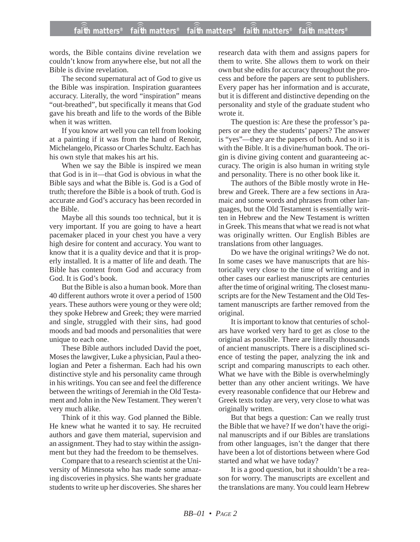## **faith matters® faith matters® faith matters® faith matters® faith matters®** ))) ))) ))) ))) faith matters $^{\circ}$  faith matters $^{\circ}$

words, the Bible contains divine revelation we couldn't know from anywhere else, but not all the Bible is divine revelation.

The second supernatural act of God to give us the Bible was inspiration. Inspiration guarantees accuracy. Literally, the word "inspiration" means "out-breathed", but specifically it means that God gave his breath and life to the words of the Bible when it was written.

If you know art well you can tell from looking at a painting if it was from the hand of Renoir, Michelangelo, Picasso or Charles Schultz. Each has his own style that makes his art his.

When we say the Bible is inspired we mean that God is in it—that God is obvious in what the Bible says and what the Bible is. God is a God of truth; therefore the Bible is a book of truth. God is accurate and God's accuracy has been recorded in the Bible.

Maybe all this sounds too technical, but it is very important. If you are going to have a heart pacemaker placed in your chest you have a very high desire for content and accuracy. You want to know that it is a quality device and that it is properly installed. It is a matter of life and death. The Bible has content from God and accuracy from God. It is God's book.

But the Bible is also a human book. More than 40 different authors wrote it over a period of 1500 years. These authors were young or they were old; they spoke Hebrew and Greek; they were married and single, struggled with their sins, had good moods and bad moods and personalities that were unique to each one.

These Bible authors included David the poet, Moses the lawgiver, Luke a physician, Paul a theologian and Peter a fisherman. Each had his own distinctive style and his personality came through in his writings. You can see and feel the difference between the writings of Jeremiah in the Old Testament and John in the New Testament. They weren't very much alike.

Think of it this way. God planned the Bible. He knew what he wanted it to say. He recruited authors and gave them material, supervision and an assignment. They had to stay within the assignment but they had the freedom to be themselves.

Compare that to a research scientist at the University of Minnesota who has made some amazing discoveries in physics. She wants her graduate students to write up her discoveries. She shares her research data with them and assigns papers for them to write. She allows them to work on their own but she edits for accuracy throughout the process and before the papers are sent to publishers. Every paper has her information and is accurate, but it is different and distinctive depending on the personality and style of the graduate student who wrote it.

The question is: Are these the professor's papers or are they the students' papers? The answer is "yes"—they are the papers of both. And so it is with the Bible. It is a divine/human book. The origin is divine giving content and guaranteeing accuracy. The origin is also human in writing style and personality. There is no other book like it.

The authors of the Bible mostly wrote in Hebrew and Greek. There are a few sections in Aramaic and some words and phrases from other languages, but the Old Testament is essentially written in Hebrew and the New Testament is written in Greek. This means that what we read is not what was originally written. Our English Bibles are translations from other languages.

Do we have the original writings? We do not. In some cases we have manuscripts that are historically very close to the time of writing and in other cases our earliest manuscripts are centuries after the time of original writing. The closest manuscripts are for the New Testament and the Old Testament manuscripts are farther removed from the original.

It is important to know that centuries of scholars have worked very hard to get as close to the original as possible. There are literally thousands of ancient manuscripts. There is a disciplined science of testing the paper, analyzing the ink and script and comparing manuscripts to each other. What we have with the Bible is overwhelmingly better than any other ancient writings. We have every reasonable confidence that our Hebrew and Greek texts today are very, very close to what was originally written.

But that begs a question: Can we really trust the Bible that we have? If we don't have the original manuscripts and if our Bibles are translations from other languages, isn't the danger that there have been a lot of distortions between where God started and what we have today?

It is a good question, but it shouldn't be a reason for worry. The manuscripts are excellent and the translations are many. You could learn Hebrew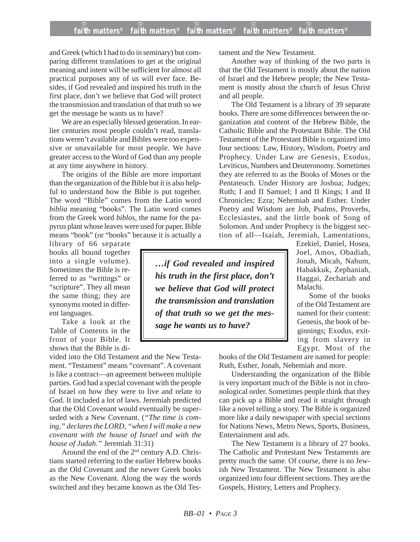## **faith matters® faith matters® faith matters® faith matters® faith matters®** ))) ))) ))) ))) )))

and Greek (which I had to do in seminary) but comparing different translations to get at the original meaning and intent will be sufficient for almost all practical purposes any of us will ever face. Besides, if God revealed and inspired his truth in the first place, don't we believe that God will protect the transmission and translation of that truth so we get the message he wants us to have?

We are an especially blessed generation. In earlier centuries most people couldn't read, translations weren't available and Bibles were too expensive or unavailable for most people. We have greater access to the Word of God than any people at any time anywhere in history.

The origins of the Bible are more important than the organization of the Bible but it is also helpful to understand how the Bible is put together. The word "Bible" comes from the Latin word *biblia* meaning "books". The Latin word comes from the Greek word *biblos,* the name for the papyrus plant whose leaves were used for paper. Bible means "book" (or "books" because it is actually a

library of 66 separate books all bound together into a single volume). Sometimes the Bible is referred to as "writings" or "scripture". They all mean the same thing; they are synonyms rooted in different languages.

Take a look at the Table of Contents in the front of your Bible. It shows that the Bible is di-

vided into the Old Testament and the New Testament. "Testament" means "covenant". A covenant is like a contract—an agreement between multiple parties. God had a special covenant with the people of Israel on how they were to live and relate to God. It included a lot of laws. Jeremiah predicted that the Old Covenant would eventually be superseded with a New Covenant. (*"The time is coming," declares the LORD, "when I will make a new covenant with the house of Israel and with the house of Judah."* Jeremiah 31:31)

Around the end of the 2nd century A.D. Christians started referring to the earlier Hebrew books as the Old Covenant and the newer Greek books as the New Covenant. Along the way the words switched and they became known as the Old Testament and the New Testament.

Another way of thinking of the two parts is that the Old Testament is mostly about the nation of Israel and the Hebrew people; the New Testament is mostly about the church of Jesus Christ and all people.

The Old Testament is a library of 39 separate books. There are some differences between the organization and content of the Hebrew Bible, the Catholic Bible and the Protestant Bible. The Old Testament of the Protestant Bible is organized into four sections: Law, History, Wisdom, Poetry and Prophecy. Under Law are Genesis, Exodus, Leviticus, Numbers and Deuteronomy. Sometimes they are referred to as the Books of Moses or the Pentateuch. Under History are Joshua; Judges; Ruth; I and II Samuel; I and II Kings; I and II Chronicles; Ezra; Nehemiah and Esther. Under Poetry and Wisdom are Job, Psalms, Proverbs, Ecclesiastes, and the little book of Song of Solomon. And under Prophecy is the biggest section of all—Isaiah, Jeremiah, Lamentations,

*…if God revealed and inspired his truth in the first place, don't we believe that God will protect the transmission and translation of that truth so we get the message he wants us to have?*

Ezekiel, Daniel, Hosea, Joel, Amos, Obadiah, Jonah, Micah, Nahum, Habakkuk, Zephaniah, Haggai, Zechariah and Malachi.

Some of the books of the Old Testament are named for their content: Genesis, the book of beginnings; Exodus, exiting from slavery in Egypt. Most of the

books of the Old Testament are named for people: Ruth, Esther, Jonah, Nehemiah and more.

Understanding the organization of the Bible is very important much of the Bible is not in chronological order. Sometimes people think that they can pick up a Bible and read it straight through like a novel telling a story. The Bible is organized more like a daily newspaper with special sections for Nations News, Metro News, Sports, Business, Entertainment and ads.

The New Testament is a library of 27 books. The Catholic and Protestant New Testaments are pretty much the same. Of course, there is no Jewish New Testament. The New Testament is also organized into four different sections. They are the Gospels, History, Letters and Prophecy.